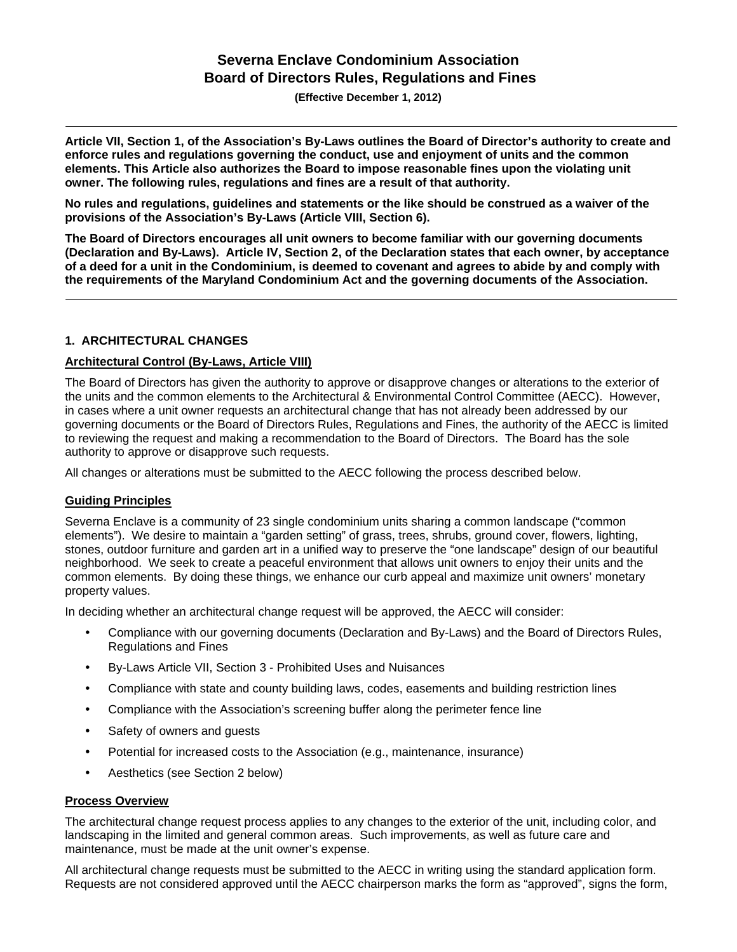# **Severna Enclave Condominium Association Board of Directors Rules, Regulations and Fines**

**(Effective December 1, 2012)** 

**Article VII, Section 1, of the Association's By-Laws outlines the Board of Director's authority to create and enforce rules and regulations governing the conduct, use and enjoyment of units and the common elements. This Article also authorizes the Board to impose reasonable fines upon the violating unit owner. The following rules, regulations and fines are a result of that authority.** 

**No rules and regulations, guidelines and statements or the like should be construed as a waiver of the provisions of the Association's By-Laws (Article VIII, Section 6).** 

**The Board of Directors encourages all unit owners to become familiar with our governing documents (Declaration and By-Laws). Article IV, Section 2, of the Declaration states that each owner, by acceptance of a deed for a unit in the Condominium, is deemed to covenant and agrees to abide by and comply with the requirements of the Maryland Condominium Act and the governing documents of the Association.** 

# **1. ARCHITECTURAL CHANGES**

## **Architectural Control (By-Laws, Article VIII)**

The Board of Directors has given the authority to approve or disapprove changes or alterations to the exterior of the units and the common elements to the Architectural & Environmental Control Committee (AECC). However, in cases where a unit owner requests an architectural change that has not already been addressed by our governing documents or the Board of Directors Rules, Regulations and Fines, the authority of the AECC is limited to reviewing the request and making a recommendation to the Board of Directors. The Board has the sole authority to approve or disapprove such requests.

All changes or alterations must be submitted to the AECC following the process described below.

#### **Guiding Principles**

Severna Enclave is a community of 23 single condominium units sharing a common landscape ("common elements"). We desire to maintain a "garden setting" of grass, trees, shrubs, ground cover, flowers, lighting, stones, outdoor furniture and garden art in a unified way to preserve the "one landscape" design of our beautiful neighborhood. We seek to create a peaceful environment that allows unit owners to enjoy their units and the common elements. By doing these things, we enhance our curb appeal and maximize unit owners' monetary property values.

In deciding whether an architectural change request will be approved, the AECC will consider:

- Compliance with our governing documents (Declaration and By-Laws) and the Board of Directors Rules, Regulations and Fines
- y By-Laws Article VII, Section 3 Prohibited Uses and Nuisances
- Compliance with state and county building laws, codes, easements and building restriction lines
- Compliance with the Association's screening buffer along the perimeter fence line
- Safety of owners and quests
- Potential for increased costs to the Association (e.g., maintenance, insurance)
- Aesthetics (see Section 2 below)

#### **Process Overview**

The architectural change request process applies to any changes to the exterior of the unit, including color, and landscaping in the limited and general common areas. Such improvements, as well as future care and maintenance, must be made at the unit owner's expense.

All architectural change requests must be submitted to the AECC in writing using the standard application form. Requests are not considered approved until the AECC chairperson marks the form as "approved", signs the form,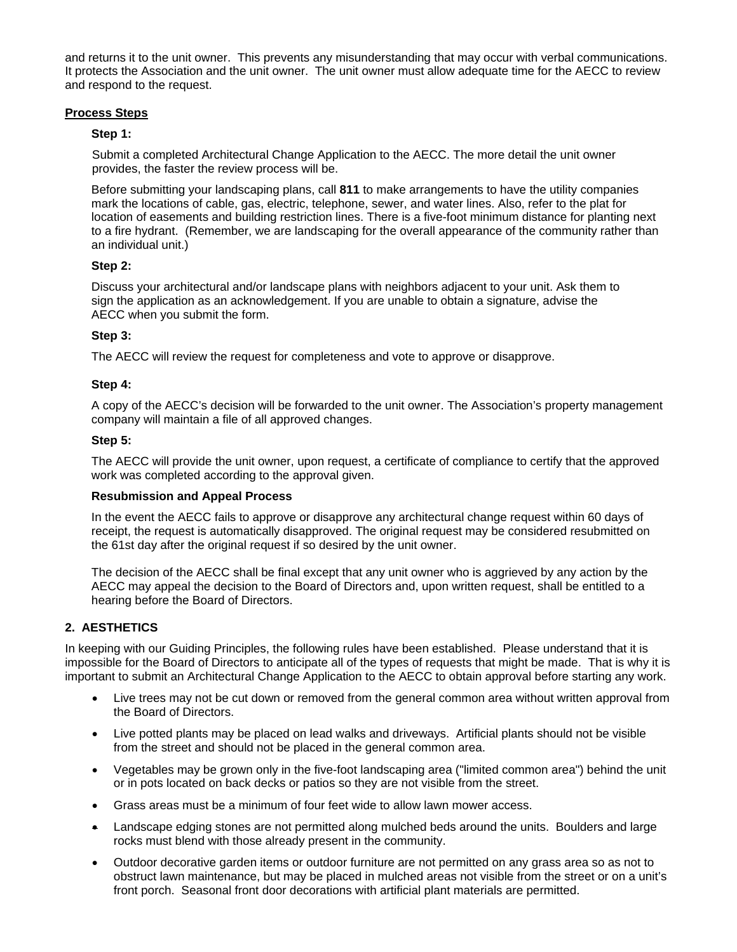and returns it to the unit owner. This prevents any misunderstanding that may occur with verbal communications. It protects the Association and the unit owner. The unit owner must allow adequate time for the AECC to review and respond to the request.

## **Process Steps**

## **Step 1:**

Submit a completed Architectural Change Application to the AECC. The more detail the unit owner provides, the faster the review process will be.

Before submitting your landscaping plans, call **811** to make arrangements to have the utility companies mark the locations of cable, gas, electric, telephone, sewer, and water lines. Also, refer to the plat for location of easements and building restriction lines. There is a five-foot minimum distance for planting next to a fire hydrant. (Remember, we are landscaping for the overall appearance of the community rather than an individual unit.)

## **Step 2:**

Discuss your architectural and/or landscape plans with neighbors adjacent to your unit. Ask them to sign the application as an acknowledgement. If you are unable to obtain a signature, advise the AECC when you submit the form.

## **Step 3:**

The AECC will review the request for completeness and vote to approve or disapprove.

## **Step 4:**

A copy of the AECC's decision will be forwarded to the unit owner. The Association's property management company will maintain a file of all approved changes.

## **Step 5:**

The AECC will provide the unit owner, upon request, a certificate of compliance to certify that the approved work was completed according to the approval given.

# **Resubmission and Appeal Process**

In the event the AECC fails to approve or disapprove any architectural change request within 60 days of receipt, the request is automatically disapproved. The original request may be considered resubmitted on the 61st day after the original request if so desired by the unit owner.

The decision of the AECC shall be final except that any unit owner who is aggrieved by any action by the AECC may appeal the decision to the Board of Directors and, upon written request, shall be entitled to a hearing before the Board of Directors.

# **2. AESTHETICS**

In keeping with our Guiding Principles, the following rules have been established. Please understand that it is impossible for the Board of Directors to anticipate all of the types of requests that might be made. That is why it is important to submit an Architectural Change Application to the AECC to obtain approval before starting any work.

- Live trees may not be cut down or removed from the general common area without written approval from the Board of Directors.
- Live potted plants may be placed on lead walks and driveways. Artificial plants should not be visible from the street and should not be placed in the general common area.
- Vegetables may be grown only in the five-foot landscaping area ("limited common area") behind the unit or in pots located on back decks or patios so they are not visible from the street.
- Grass areas must be a minimum of four feet wide to allow lawn mower access.
- Landscape edging stones are not permitted along mulched beds around the units. Boulders and large rocks must blend with those already present in the community.
- Outdoor decorative garden items or outdoor furniture are not permitted on any grass area so as not to obstruct lawn maintenance, but may be placed in mulched areas not visible from the street or on a unit's front porch. Seasonal front door decorations with artificial plant materials are permitted.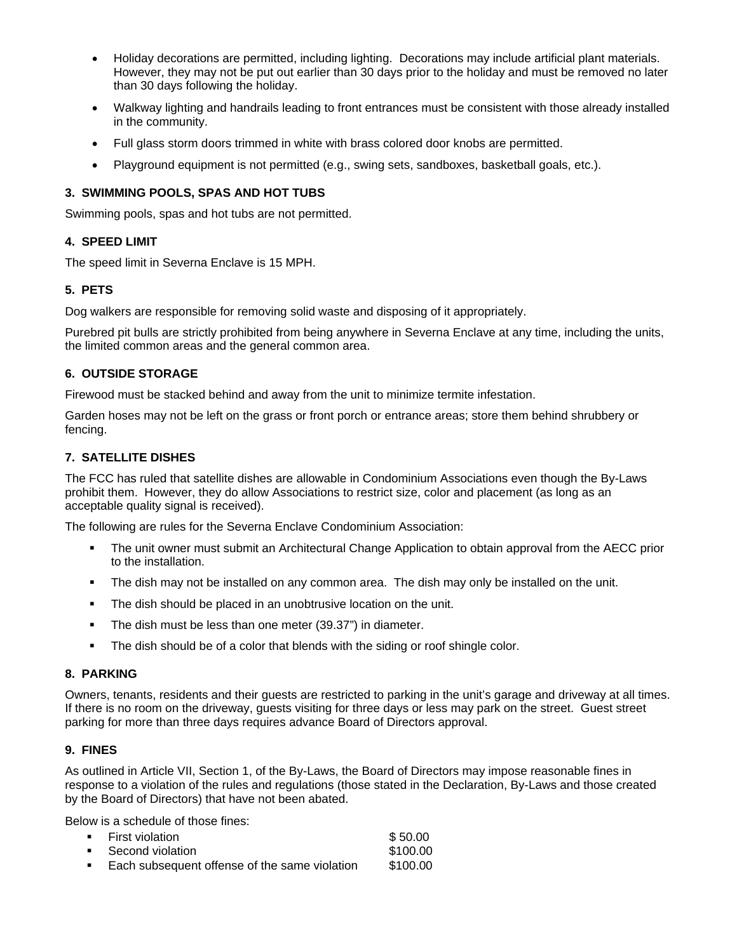- Holiday decorations are permitted, including lighting. Decorations may include artificial plant materials. However, they may not be put out earlier than 30 days prior to the holiday and must be removed no later than 30 days following the holiday.
- Walkway lighting and handrails leading to front entrances must be consistent with those already installed in the community.
- Full glass storm doors trimmed in white with brass colored door knobs are permitted.
- Playground equipment is not permitted (e.g., swing sets, sandboxes, basketball goals, etc.).

## **3. SWIMMING POOLS, SPAS AND HOT TUBS**

Swimming pools, spas and hot tubs are not permitted.

## **4. SPEED LIMIT**

The speed limit in Severna Enclave is 15 MPH.

# **5. PETS**

Dog walkers are responsible for removing solid waste and disposing of it appropriately.

Purebred pit bulls are strictly prohibited from being anywhere in Severna Enclave at any time, including the units, the limited common areas and the general common area.

## **6. OUTSIDE STORAGE**

Firewood must be stacked behind and away from the unit to minimize termite infestation.

Garden hoses may not be left on the grass or front porch or entrance areas; store them behind shrubbery or fencing.

## **7. SATELLITE DISHES**

The FCC has ruled that satellite dishes are allowable in Condominium Associations even though the By-Laws prohibit them. However, they do allow Associations to restrict size, color and placement (as long as an acceptable quality signal is received).

The following are rules for the Severna Enclave Condominium Association:

- The unit owner must submit an Architectural Change Application to obtain approval from the AECC prior to the installation.
- The dish may not be installed on any common area. The dish may only be installed on the unit.
- **The dish should be placed in an unobtrusive location on the unit.**
- The dish must be less than one meter (39.37") in diameter.
- **The dish should be of a color that blends with the siding or roof shingle color.**

## **8. PARKING**

Owners, tenants, residents and their guests are restricted to parking in the unit's garage and driveway at all times. If there is no room on the driveway, guests visiting for three days or less may park on the street. Guest street parking for more than three days requires advance Board of Directors approval.

#### **9. FINES**

As outlined in Article VII, Section 1, of the By-Laws, the Board of Directors may impose reasonable fines in response to a violation of the rules and regulations (those stated in the Declaration, By-Laws and those created by the Board of Directors) that have not been abated.

Below is a schedule of those fines:

| ■ First violation                               | \$50.00  |
|-------------------------------------------------|----------|
| ■ Second violation                              | \$100.00 |
| ■ Each subsequent offense of the same violation | \$100.00 |